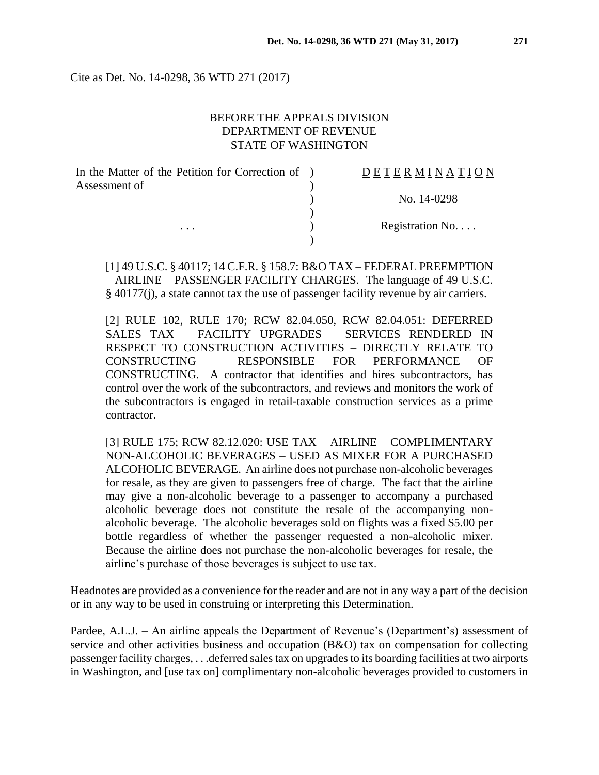Cite as Det. No. 14-0298, 36 WTD 271 (2017)

### BEFORE THE APPEALS DIVISION DEPARTMENT OF REVENUE STATE OF WASHINGTON

| In the Matter of the Petition for Correction of ) | DETERMINATION            |
|---------------------------------------------------|--------------------------|
| Assessment of                                     | No. 14-0298              |
|                                                   |                          |
| $\cdots$                                          | Registration No. $\dots$ |
|                                                   |                          |

[1] 49 U.S.C. § 40117; 14 C.F.R. § 158.7: B&O TAX – FEDERAL PREEMPTION – AIRLINE – PASSENGER FACILITY CHARGES. The language of 49 U.S.C. § 40177(j), a state cannot tax the use of passenger facility revenue by air carriers.

[2] RULE 102, RULE 170; RCW 82.04.050, RCW 82.04.051: DEFERRED SALES TAX – FACILITY UPGRADES – SERVICES RENDERED IN RESPECT TO CONSTRUCTION ACTIVITIES – DIRECTLY RELATE TO CONSTRUCTING – RESPONSIBLE FOR PERFORMANCE OF CONSTRUCTING. A contractor that identifies and hires subcontractors, has control over the work of the subcontractors, and reviews and monitors the work of the subcontractors is engaged in retail-taxable construction services as a prime contractor.

[3] RULE 175; RCW 82.12.020: USE TAX – AIRLINE – COMPLIMENTARY NON-ALCOHOLIC BEVERAGES – USED AS MIXER FOR A PURCHASED ALCOHOLIC BEVERAGE. An airline does not purchase non-alcoholic beverages for resale, as they are given to passengers free of charge. The fact that the airline may give a non-alcoholic beverage to a passenger to accompany a purchased alcoholic beverage does not constitute the resale of the accompanying nonalcoholic beverage. The alcoholic beverages sold on flights was a fixed \$5.00 per bottle regardless of whether the passenger requested a non-alcoholic mixer. Because the airline does not purchase the non-alcoholic beverages for resale, the airline's purchase of those beverages is subject to use tax.

Headnotes are provided as a convenience for the reader and are not in any way a part of the decision or in any way to be used in construing or interpreting this Determination.

Pardee, A.L.J. – An airline appeals the Department of Revenue's (Department's) assessment of service and other activities business and occupation (B&O) tax on compensation for collecting passenger facility charges, . . .deferred sales tax on upgrades to its boarding facilities at two airports in Washington, and [use tax on] complimentary non-alcoholic beverages provided to customers in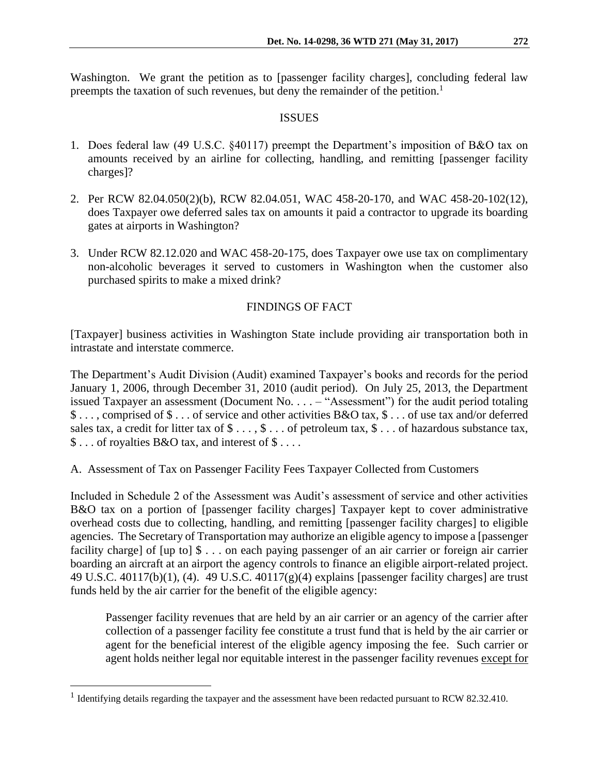Washington. We grant the petition as to [passenger facility charges], concluding federal law preempts the taxation of such revenues, but deny the remainder of the petition.<sup>1</sup>

### ISSUES

- 1. Does federal law (49 U.S.C. §40117) preempt the Department's imposition of B&O tax on amounts received by an airline for collecting, handling, and remitting [passenger facility charges]?
- 2. Per RCW 82.04.050(2)(b), RCW 82.04.051, WAC 458-20-170, and WAC 458-20-102(12), does Taxpayer owe deferred sales tax on amounts it paid a contractor to upgrade its boarding gates at airports in Washington?
- 3. Under RCW 82.12.020 and WAC 458-20-175, does Taxpayer owe use tax on complimentary non-alcoholic beverages it served to customers in Washington when the customer also purchased spirits to make a mixed drink?

# FINDINGS OF FACT

[Taxpayer] business activities in Washington State include providing air transportation both in intrastate and interstate commerce.

The Department's Audit Division (Audit) examined Taxpayer's books and records for the period January 1, 2006, through December 31, 2010 (audit period). On July 25, 2013, the Department issued Taxpayer an assessment (Document No. . . . – "Assessment") for the audit period totaling \$ . . . , comprised of \$ . . . of service and other activities B&O tax, \$ . . . of use tax and/or deferred sales tax, a credit for litter tax of  $\$\dots$ ,  $\$\dots$  of petroleum tax,  $\$\dots$  of hazardous substance tax, \$ . . . of royalties B&O tax, and interest of \$ . . . .

A. Assessment of Tax on Passenger Facility Fees Taxpayer Collected from Customers

Included in Schedule 2 of the Assessment was Audit's assessment of service and other activities B&O tax on a portion of [passenger facility charges] Taxpayer kept to cover administrative overhead costs due to collecting, handling, and remitting [passenger facility charges] to eligible agencies. The Secretary of Transportation may authorize an eligible agency to impose a [passenger facility charge] of [up to] \$ . . . on each paying passenger of an air carrier or foreign air carrier boarding an aircraft at an airport the agency controls to finance an eligible airport-related project. 49 U.S.C. 40117(b)(1), (4). 49 U.S.C. 40117(g)(4) explains [passenger facility charges] are trust funds held by the air carrier for the benefit of the eligible agency:

Passenger facility revenues that are held by an air carrier or an agency of the carrier after collection of a passenger facility fee constitute a trust fund that is held by the air carrier or agent for the beneficial interest of the eligible agency imposing the fee. Such carrier or agent holds neither legal nor equitable interest in the passenger facility revenues except for

<sup>&</sup>lt;sup>1</sup> Identifying details regarding the taxpayer and the assessment have been redacted pursuant to RCW 82.32.410.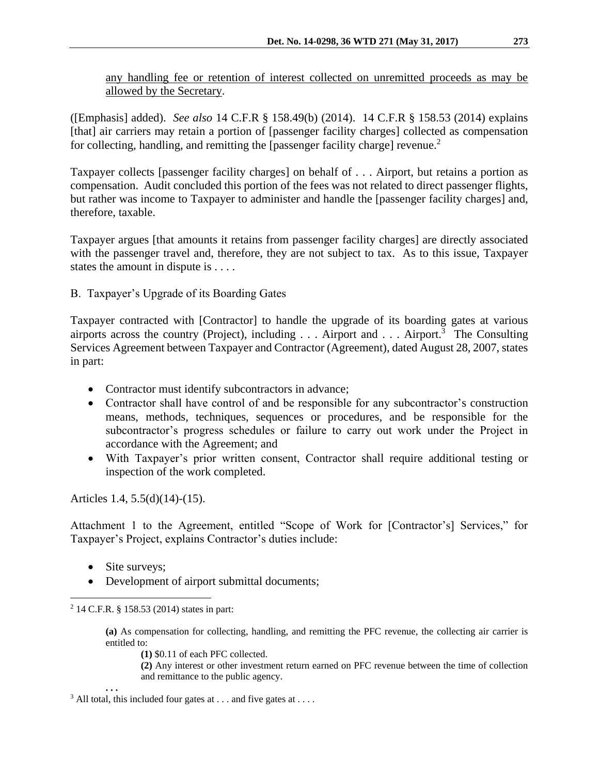any handling fee or retention of interest collected on unremitted proceeds as may be allowed by the Secretary.

([Emphasis] added). *See also* 14 C.F.R § 158.49(b) (2014). 14 C.F.R § 158.53 (2014) explains [that] air carriers may retain a portion of [passenger facility charges] collected as compensation for collecting, handling, and remitting the [passenger facility charge] revenue.<sup>2</sup>

Taxpayer collects [passenger facility charges] on behalf of . . . Airport, but retains a portion as compensation. Audit concluded this portion of the fees was not related to direct passenger flights, but rather was income to Taxpayer to administer and handle the [passenger facility charges] and, therefore, taxable.

Taxpayer argues [that amounts it retains from passenger facility charges] are directly associated with the passenger travel and, therefore, they are not subject to tax. As to this issue, Taxpayer states the amount in dispute is . . . .

B. Taxpayer's Upgrade of its Boarding Gates

Taxpayer contracted with [Contractor] to handle the upgrade of its boarding gates at various airports across the country (Project), including  $\ldots$  Airport and  $\ldots$  Airport.<sup>3</sup> The Consulting Services Agreement between Taxpayer and Contractor (Agreement), dated August 28, 2007, states in part:

- Contractor must identify subcontractors in advance;
- Contractor shall have control of and be responsible for any subcontractor's construction means, methods, techniques, sequences or procedures, and be responsible for the subcontractor's progress schedules or failure to carry out work under the Project in accordance with the Agreement; and
- With Taxpayer's prior written consent, Contractor shall require additional testing or inspection of the work completed.

Articles 1.4, 5.5(d)(14)-(15).

Attachment 1 to the Agreement, entitled "Scope of Work for [Contractor's] Services," for Taxpayer's Project, explains Contractor's duties include:

- Site surveys;
- Development of airport submittal documents;

**(a)** As compensation for collecting, handling, and remitting the PFC revenue, the collecting air carrier is entitled to:

**(1)** \$0.11 of each PFC collected.

**(2)** Any interest or other investment return earned on PFC revenue between the time of collection and remittance to the public agency.

**. . .**

 $\overline{a}$ <sup>2</sup> 14 C.F.R. § 158.53 (2014) states in part:

 $3$  All total, this included four gates at . . . and five gates at . . . .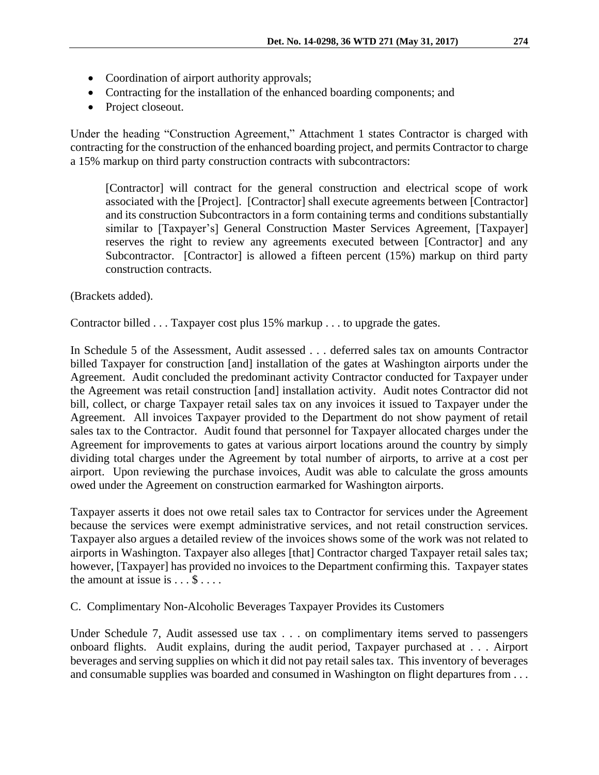- Coordination of airport authority approvals;
- Contracting for the installation of the enhanced boarding components; and
- Project closeout.

Under the heading "Construction Agreement," Attachment 1 states Contractor is charged with contracting for the construction of the enhanced boarding project, and permits Contractor to charge a 15% markup on third party construction contracts with subcontractors:

[Contractor] will contract for the general construction and electrical scope of work associated with the [Project]. [Contractor] shall execute agreements between [Contractor] and its construction Subcontractors in a form containing terms and conditions substantially similar to [Taxpayer's] General Construction Master Services Agreement, [Taxpayer] reserves the right to review any agreements executed between [Contractor] and any Subcontractor. [Contractor] is allowed a fifteen percent (15%) markup on third party construction contracts.

(Brackets added).

Contractor billed . . . Taxpayer cost plus 15% markup . . . to upgrade the gates.

In Schedule 5 of the Assessment, Audit assessed . . . deferred sales tax on amounts Contractor billed Taxpayer for construction [and] installation of the gates at Washington airports under the Agreement. Audit concluded the predominant activity Contractor conducted for Taxpayer under the Agreement was retail construction [and] installation activity. Audit notes Contractor did not bill, collect, or charge Taxpayer retail sales tax on any invoices it issued to Taxpayer under the Agreement. All invoices Taxpayer provided to the Department do not show payment of retail sales tax to the Contractor. Audit found that personnel for Taxpayer allocated charges under the Agreement for improvements to gates at various airport locations around the country by simply dividing total charges under the Agreement by total number of airports, to arrive at a cost per airport. Upon reviewing the purchase invoices, Audit was able to calculate the gross amounts owed under the Agreement on construction earmarked for Washington airports.

Taxpayer asserts it does not owe retail sales tax to Contractor for services under the Agreement because the services were exempt administrative services, and not retail construction services. Taxpayer also argues a detailed review of the invoices shows some of the work was not related to airports in Washington. Taxpayer also alleges [that] Contractor charged Taxpayer retail sales tax; however, [Taxpayer] has provided no invoices to the Department confirming this. Taxpayer states the amount at issue is  $\dots$  \$ . . . .

C. Complimentary Non-Alcoholic Beverages Taxpayer Provides its Customers

Under Schedule 7, Audit assessed use tax . . . on complimentary items served to passengers onboard flights. Audit explains, during the audit period, Taxpayer purchased at . . . Airport beverages and serving supplies on which it did not pay retail sales tax. This inventory of beverages and consumable supplies was boarded and consumed in Washington on flight departures from . . .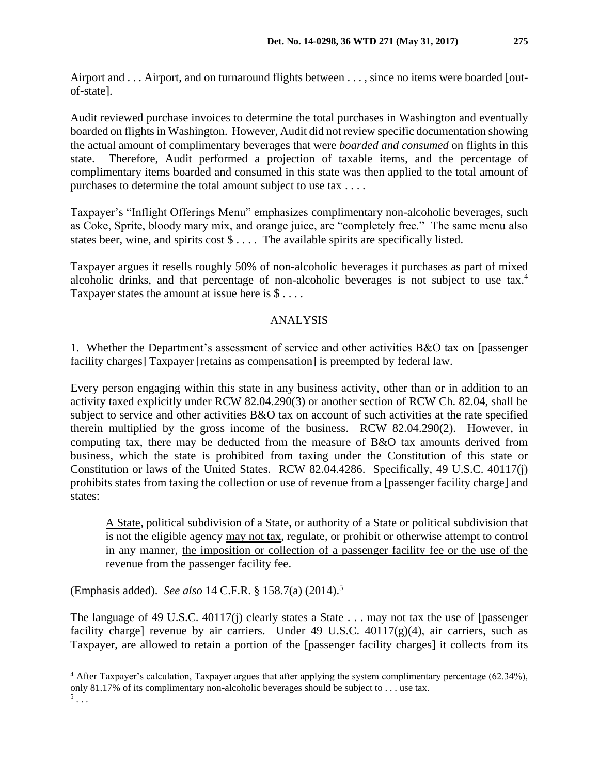Airport and . . . Airport, and on turnaround flights between . . . , since no items were boarded [outof-state].

Audit reviewed purchase invoices to determine the total purchases in Washington and eventually boarded on flights in Washington. However, Audit did not review specific documentation showing the actual amount of complimentary beverages that were *boarded and consumed* on flights in this state. Therefore, Audit performed a projection of taxable items, and the percentage of complimentary items boarded and consumed in this state was then applied to the total amount of purchases to determine the total amount subject to use tax . . . .

Taxpayer's "Inflight Offerings Menu" emphasizes complimentary non-alcoholic beverages, such as Coke, Sprite, bloody mary mix, and orange juice, are "completely free." The same menu also states beer, wine, and spirits cost \$ . . . . The available spirits are specifically listed.

Taxpayer argues it resells roughly 50% of non-alcoholic beverages it purchases as part of mixed alcoholic drinks, and that percentage of non-alcoholic beverages is not subject to use tax.<sup>4</sup> Taxpayer states the amount at issue here is  $\$\dots$ .

# ANALYSIS

1. Whether the Department's assessment of service and other activities B&O tax on [passenger facility charges] Taxpayer [retains as compensation] is preempted by federal law.

Every person engaging within this state in any business activity, other than or in addition to an activity taxed explicitly under RCW 82.04.290(3) or another section of RCW Ch. 82.04, shall be subject to service and other activities B&O tax on account of such activities at the rate specified therein multiplied by the gross income of the business. RCW 82.04.290(2). However, in computing tax, there may be deducted from the measure of B&O tax amounts derived from business, which the state is prohibited from taxing under the Constitution of this state or Constitution or laws of the United States. RCW 82.04.4286. Specifically, 49 U.S.C. 40117(j) prohibits states from taxing the collection or use of revenue from a [passenger facility charge] and states:

A State, political subdivision of a State, or authority of a State or political subdivision that is not the eligible agency may not tax, regulate, or prohibit or otherwise attempt to control in any manner, the imposition or collection of a passenger facility fee or the use of the revenue from the passenger facility fee.

(Emphasis added). *See also* 14 C.F.R. § 158.7(a) (2014).<sup>5</sup>

 $\overline{a}$ 

The language of 49 U.S.C. 40117(j) clearly states a State . . . may not tax the use of [passenger] facility charge] revenue by air carriers. Under 49 U.S.C.  $40117(g)(4)$ , air carriers, such as Taxpayer, are allowed to retain a portion of the [passenger facility charges] it collects from its

<sup>&</sup>lt;sup>4</sup> After Taxpayer's calculation, Taxpayer argues that after applying the system complimentary percentage (62.34%), only 81.17% of its complimentary non-alcoholic beverages should be subject to . . . use tax.  $^5$ ...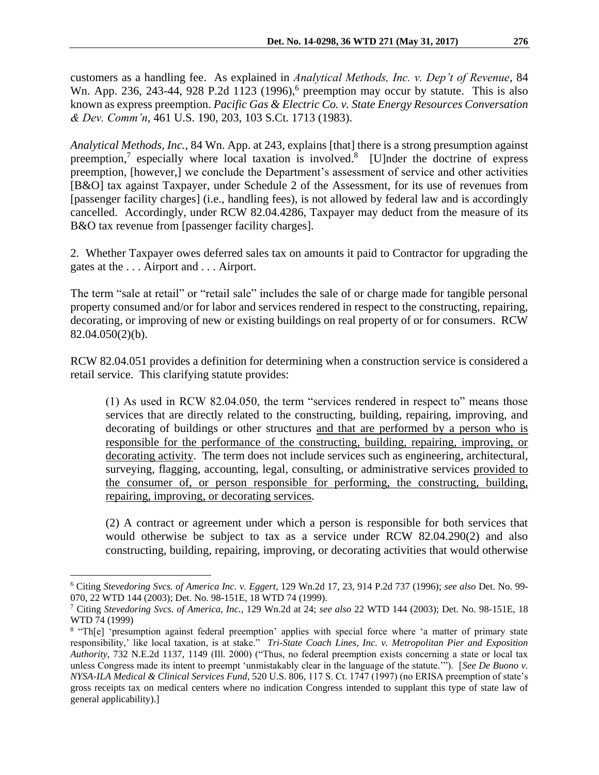customers as a handling fee. As explained in *Analytical Methods, Inc. v. Dep't of Revenue*, 84 Wn. App. 236, 243-44, 928 P.2d 1123 (1996),<sup>6</sup> preemption may occur by statute. This is also known as express preemption. *Pacific Gas & Electric Co. v. State Energy Resources Conversation & Dev. Comm'n*, 461 U.S. 190, 203, 103 S.Ct. 1713 (1983).

*Analytical Methods, Inc.*, 84 Wn. App. at 243, explains [that] there is a strong presumption against preemption,<sup>7</sup> especially where local taxation is involved.<sup>8</sup> [U]nder the doctrine of express preemption, [however,] we conclude the Department's assessment of service and other activities [B&O] tax against Taxpayer, under Schedule 2 of the Assessment, for its use of revenues from [passenger facility charges] (i.e., handling fees), is not allowed by federal law and is accordingly cancelled. Accordingly, under RCW 82.04.4286, Taxpayer may deduct from the measure of its B&O tax revenue from [passenger facility charges].

2. Whether Taxpayer owes deferred sales tax on amounts it paid to Contractor for upgrading the gates at the . . . Airport and . . . Airport.

The term "sale at retail" or "retail sale" includes the sale of or charge made for tangible personal property consumed and/or for labor and services rendered in respect to the constructing, repairing, decorating, or improving of new or existing buildings on real property of or for consumers. RCW 82.04.050(2)(b).

RCW 82.04.051 provides a definition for determining when a construction service is considered a retail service. This clarifying statute provides:

(1) As used in RCW 82.04.050, the term "services rendered in respect to" means those services that are directly related to the constructing, building, repairing, improving, and decorating of buildings or other structures and that are performed by a person who is responsible for the performance of the constructing, building, repairing, improving, or decorating activity. The term does not include services such as engineering, architectural, surveying, flagging, accounting, legal, consulting, or administrative services provided to the consumer of, or person responsible for performing, the constructing, building, repairing, improving, or decorating services*.*

(2) A contract or agreement under which a person is responsible for both services that would otherwise be subject to tax as a service under RCW 82.04.290(2) and also constructing, building, repairing, improving, or decorating activities that would otherwise

<sup>6</sup> Citing *Stevedoring Svcs. of America Inc. v. Eggert*, 129 Wn.2d 17, 23, 914 P.2d 737 (1996); *see also* Det. No. 99- 070, 22 WTD 144 (2003); Det. No. 98-151E, 18 WTD 74 (1999).

<sup>7</sup> Citing *Stevedoring Svcs. of America, Inc.*, 129 Wn.2d at 24; *see also* 22 WTD 144 (2003); Det. No. 98-151E, 18 WTD 74 (1999)

<sup>&</sup>lt;sup>8</sup> "Th[e] 'presumption against federal preemption' applies with special force where 'a matter of primary state responsibility,' like local taxation, is at stake." *Tri-State Coach Lines, Inc. v. Metropolitan Pier and Exposition Authority*, 732 N.E.2d 1137, 1149 (Ill. 2000) ("Thus, no federal preemption exists concerning a state or local tax unless Congress made its intent to preempt 'unmistakably clear in the language of the statute.'"). [*See De Buono v. NYSA-ILA Medical & Clinical Services Fund*, 520 U.S. 806, 117 S. Ct. 1747 (1997) (no ERISA preemption of state's gross receipts tax on medical centers where no indication Congress intended to supplant this type of state law of general applicability).]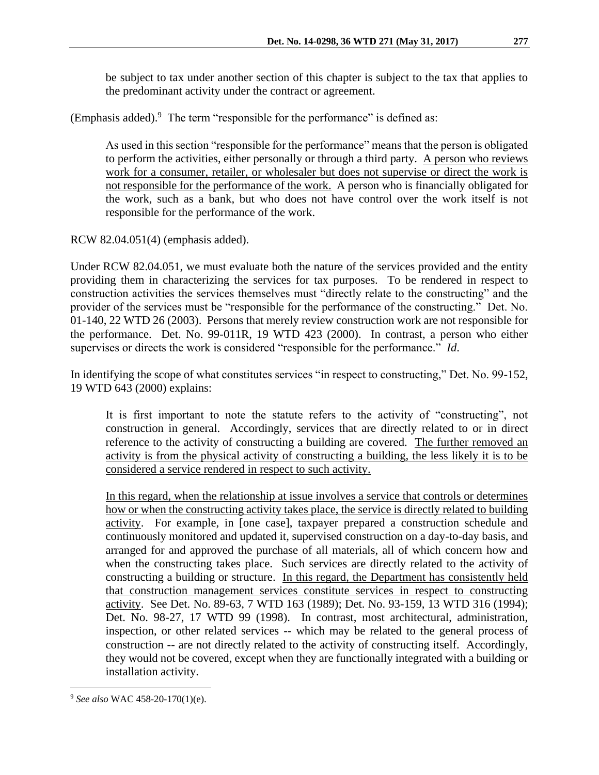be subject to tax under another section of this chapter is subject to the tax that applies to the predominant activity under the contract or agreement.

(Emphasis added).<sup>9</sup> The term "responsible for the performance" is defined as:

As used in this section "responsible for the performance" means that the person is obligated to perform the activities, either personally or through a third party. A person who reviews work for a consumer, retailer, or wholesaler but does not supervise or direct the work is not responsible for the performance of the work. A person who is financially obligated for the work, such as a bank, but who does not have control over the work itself is not responsible for the performance of the work.

RCW 82.04.051(4) (emphasis added).

Under RCW 82.04.051, we must evaluate both the nature of the services provided and the entity providing them in characterizing the services for tax purposes. To be rendered in respect to construction activities the services themselves must "directly relate to the constructing" and the provider of the services must be "responsible for the performance of the constructing." Det. No. 01-140, 22 WTD 26 (2003). Persons that merely review construction work are not responsible for the performance. Det. No. 99-011R, 19 WTD 423 (2000). In contrast, a person who either supervises or directs the work is considered "responsible for the performance." *Id*.

In identifying the scope of what constitutes services "in respect to constructing," Det. No. 99-152, 19 WTD 643 (2000) explains:

It is first important to note the statute refers to the activity of "constructing", not construction in general. Accordingly, services that are directly related to or in direct reference to the activity of constructing a building are covered. The further removed an activity is from the physical activity of constructing a building, the less likely it is to be considered a service rendered in respect to such activity.

In this regard, when the relationship at issue involves a service that controls or determines how or when the constructing activity takes place, the service is directly related to building activity. For example, in [one case], taxpayer prepared a construction schedule and continuously monitored and updated it, supervised construction on a day-to-day basis, and arranged for and approved the purchase of all materials, all of which concern how and when the constructing takes place. Such services are directly related to the activity of constructing a building or structure. In this regard, the Department has consistently held that construction management services constitute services in respect to constructing activity. See Det. No. 89-63, 7 WTD 163 (1989); Det. No. 93-159, 13 WTD 316 (1994); Det. No. 98-27, 17 WTD 99 (1998). In contrast, most architectural, administration, inspection, or other related services -- which may be related to the general process of construction -- are not directly related to the activity of constructing itself. Accordingly, they would not be covered, except when they are functionally integrated with a building or installation activity.

 $\overline{a}$ <sup>9</sup> *See also* WAC 458-20-170(1)(e).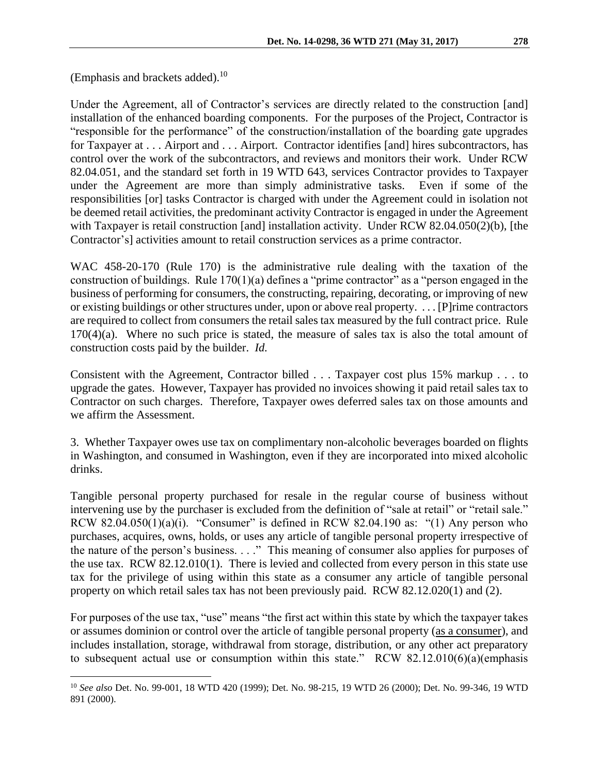(Emphasis and brackets added).<sup>10</sup>

 $\overline{a}$ 

Under the Agreement, all of Contractor's services are directly related to the construction [and] installation of the enhanced boarding components. For the purposes of the Project, Contractor is "responsible for the performance" of the construction/installation of the boarding gate upgrades for Taxpayer at . . . Airport and . . . Airport. Contractor identifies [and] hires subcontractors, has control over the work of the subcontractors, and reviews and monitors their work. Under RCW 82.04.051, and the standard set forth in 19 WTD 643, services Contractor provides to Taxpayer under the Agreement are more than simply administrative tasks. Even if some of the responsibilities [or] tasks Contractor is charged with under the Agreement could in isolation not be deemed retail activities, the predominant activity Contractor is engaged in under the Agreement with Taxpayer is retail construction [and] installation activity. Under RCW 82.04.050(2)(b), [the Contractor's] activities amount to retail construction services as a prime contractor.

WAC 458-20-170 (Rule 170) is the administrative rule dealing with the taxation of the construction of buildings. Rule  $170(1)(a)$  defines a "prime contractor" as a "person engaged in the business of performing for consumers, the constructing, repairing, decorating, or improving of new or existing buildings or other structures under, upon or above real property. . . . [P]rime contractors are required to collect from consumers the retail sales tax measured by the full contract price. Rule  $170(4)(a)$ . Where no such price is stated, the measure of sales tax is also the total amount of construction costs paid by the builder. *Id.*

Consistent with the Agreement, Contractor billed . . . Taxpayer cost plus 15% markup . . . to upgrade the gates. However, Taxpayer has provided no invoices showing it paid retail sales tax to Contractor on such charges. Therefore, Taxpayer owes deferred sales tax on those amounts and we affirm the Assessment.

3. Whether Taxpayer owes use tax on complimentary non-alcoholic beverages boarded on flights in Washington, and consumed in Washington, even if they are incorporated into mixed alcoholic drinks.

Tangible personal property purchased for resale in the regular course of business without intervening use by the purchaser is excluded from the definition of "sale at retail" or "retail sale." RCW 82.04.050(1)(a)(i). "Consumer" is defined in RCW 82.04.190 as: "(1) Any person who purchases, acquires, owns, holds, or uses any article of tangible personal property irrespective of the nature of the person's business. . . ." This meaning of consumer also applies for purposes of the use tax. RCW 82.12.010(1). There is levied and collected from every person in this state use tax for the privilege of using within this state as a consumer any article of tangible personal property on which retail sales tax has not been previously paid. RCW 82.12.020(1) and (2).

For purposes of the use tax, "use" means "the first act within this state by which the taxpayer takes or assumes dominion or control over the article of tangible personal property (as a consumer), and includes installation, storage, withdrawal from storage, distribution, or any other act preparatory to subsequent actual use or consumption within this state." RCW 82.12.010(6)(a)(emphasis

<sup>10</sup> *See also* Det. No. 99-001, 18 WTD 420 (1999); Det. No. 98-215, 19 WTD 26 (2000); Det. No. 99-346, 19 WTD 891 (2000).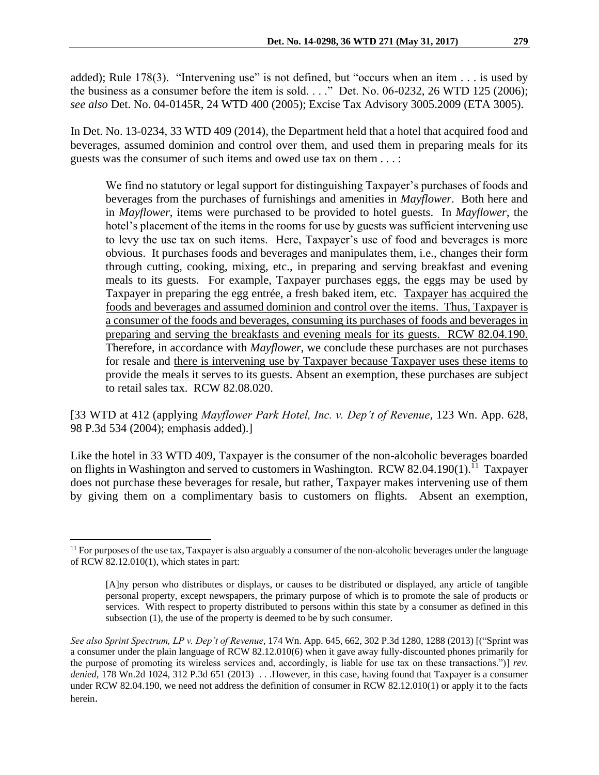added); Rule 178(3). "Intervening use" is not defined, but "occurs when an item . . . is used by the business as a consumer before the item is sold. . . ." Det. No. 06-0232, 26 WTD 125 (2006); *see also* Det. No. 04-0145R, 24 WTD 400 (2005); Excise Tax Advisory 3005.2009 (ETA 3005).

In Det. No. 13-0234, 33 WTD 409 (2014), the Department held that a hotel that acquired food and beverages, assumed dominion and control over them, and used them in preparing meals for its guests was the consumer of such items and owed use tax on them . . . :

We find no statutory or legal support for distinguishing Taxpayer's purchases of foods and beverages from the purchases of furnishings and amenities in *Mayflower*. Both here and in *Mayflower*, items were purchased to be provided to hotel guests. In *Mayflower*, the hotel's placement of the items in the rooms for use by guests was sufficient intervening use to levy the use tax on such items. Here, Taxpayer's use of food and beverages is more obvious. It purchases foods and beverages and manipulates them, i.e., changes their form through cutting, cooking, mixing, etc., in preparing and serving breakfast and evening meals to its guests. For example, Taxpayer purchases eggs, the eggs may be used by Taxpayer in preparing the egg entrée, a fresh baked item, etc. Taxpayer has acquired the foods and beverages and assumed dominion and control over the items. Thus, Taxpayer is a consumer of the foods and beverages, consuming its purchases of foods and beverages in preparing and serving the breakfasts and evening meals for its guests. RCW 82.04.190. Therefore, in accordance with *Mayflower*, we conclude these purchases are not purchases for resale and there is intervening use by Taxpayer because Taxpayer uses these items to provide the meals it serves to its guests. Absent an exemption, these purchases are subject to retail sales tax. RCW 82.08.020.

[33 WTD at 412 (applying *Mayflower Park Hotel, Inc. v. Dep't of Revenue*, 123 Wn. App. 628, 98 P.3d 534 (2004); emphasis added).]

Like the hotel in 33 WTD 409, Taxpayer is the consumer of the non-alcoholic beverages boarded on flights in Washington and served to customers in Washington. RCW 82.04.190 $(1)$ .<sup>11</sup> Taxpayer does not purchase these beverages for resale, but rather, Taxpayer makes intervening use of them by giving them on a complimentary basis to customers on flights. Absent an exemption,

 $<sup>11</sup>$  For purposes of the use tax, Taxpayer is also arguably a consumer of the non-alcoholic beverages under the language</sup> of RCW 82.12.010(1), which states in part:

<sup>[</sup>A]ny person who distributes or displays, or causes to be distributed or displayed, any article of tangible personal property, except newspapers, the primary purpose of which is to promote the sale of products or services. With respect to property distributed to persons within this state by a consumer as defined in this subsection (1), the use of the property is deemed to be by such consumer.

*See also Sprint Spectrum, LP v. Dep't of Revenue*, 174 Wn. App. 645, 662, 302 P.3d 1280, 1288 (2013) [("Sprint was a consumer under the plain language of RCW 82.12.010(6) when it gave away fully-discounted phones primarily for the purpose of promoting its wireless services and, accordingly, is liable for use tax on these transactions.")] *rev. denied*, 178 Wn.2d 1024, 312 P.3d 651 (2013) . . .However, in this case, having found that Taxpayer is a consumer under RCW 82.04.190, we need not address the definition of consumer in RCW 82.12.010(1) or apply it to the facts herein.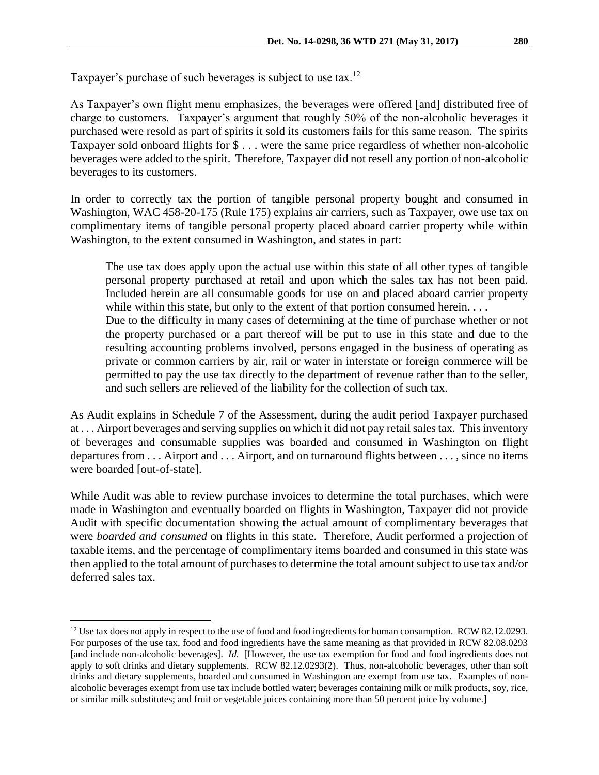Taxpayer's purchase of such beverages is subject to use tax.<sup>12</sup>

As Taxpayer's own flight menu emphasizes, the beverages were offered [and] distributed free of charge to customers. Taxpayer's argument that roughly 50% of the non-alcoholic beverages it purchased were resold as part of spirits it sold its customers fails for this same reason. The spirits Taxpayer sold onboard flights for \$ . . . were the same price regardless of whether non-alcoholic beverages were added to the spirit. Therefore, Taxpayer did not resell any portion of non-alcoholic beverages to its customers.

In order to correctly tax the portion of tangible personal property bought and consumed in Washington, WAC 458-20-175 (Rule 175) explains air carriers, such as Taxpayer, owe use tax on complimentary items of tangible personal property placed aboard carrier property while within Washington, to the extent consumed in Washington, and states in part:

The use tax does apply upon the actual use within this state of all other types of tangible personal property purchased at retail and upon which the sales tax has not been paid. Included herein are all consumable goods for use on and placed aboard carrier property while within this state, but only to the extent of that portion consumed herein. . . . Due to the difficulty in many cases of determining at the time of purchase whether or not the property purchased or a part thereof will be put to use in this state and due to the resulting accounting problems involved, persons engaged in the business of operating as private or common carriers by air, rail or water in interstate or foreign commerce will be permitted to pay the use tax directly to the department of revenue rather than to the seller, and such sellers are relieved of the liability for the collection of such tax.

As Audit explains in Schedule 7 of the Assessment, during the audit period Taxpayer purchased at . . . Airport beverages and serving supplies on which it did not pay retail sales tax. This inventory of beverages and consumable supplies was boarded and consumed in Washington on flight departures from . . . Airport and . . . Airport, and on turnaround flights between . . . , since no items were boarded [out-of-state].

While Audit was able to review purchase invoices to determine the total purchases, which were made in Washington and eventually boarded on flights in Washington, Taxpayer did not provide Audit with specific documentation showing the actual amount of complimentary beverages that were *boarded and consumed* on flights in this state. Therefore, Audit performed a projection of taxable items, and the percentage of complimentary items boarded and consumed in this state was then applied to the total amount of purchases to determine the total amount subject to use tax and/or deferred sales tax.

<sup>&</sup>lt;sup>12</sup> Use tax does not apply in respect to the use of food and food ingredients for human consumption. RCW 82.12.0293. For purposes of the use tax, food and food ingredients have the same meaning as that provided in RCW 82.08.0293 [and include non-alcoholic beverages]. *Id.* [However, the use tax exemption for food and food ingredients does not apply to soft drinks and dietary supplements. RCW 82.12.0293(2). Thus, non-alcoholic beverages, other than soft drinks and dietary supplements, boarded and consumed in Washington are exempt from use tax. Examples of nonalcoholic beverages exempt from use tax include bottled water; beverages containing milk or milk products, soy, rice, or similar milk substitutes; and fruit or vegetable juices containing more than 50 percent juice by volume.]